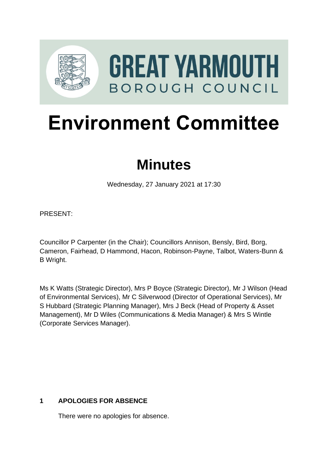

# **Environment Committee**

# **Minutes**

Wednesday, 27 January 2021 at 17:30

PRESENT:

Councillor P Carpenter (in the Chair); Councillors Annison, Bensly, Bird, Borg, Cameron, Fairhead, D Hammond, Hacon, Robinson-Payne, Talbot, Waters-Bunn & B Wright.

Ms K Watts (Strategic Director), Mrs P Boyce (Strategic Director), Mr J Wilson (Head of Environmental Services), Mr C Silverwood (Director of Operational Services), Mr S Hubbard (Strategic Planning Manager), Mrs J Beck (Head of Property & Asset Management), Mr D Wiles (Communications & Media Manager) & Mrs S Wintle (Corporate Services Manager).

# **1 APOLOGIES FOR ABSENCE**

There were no apologies for absence.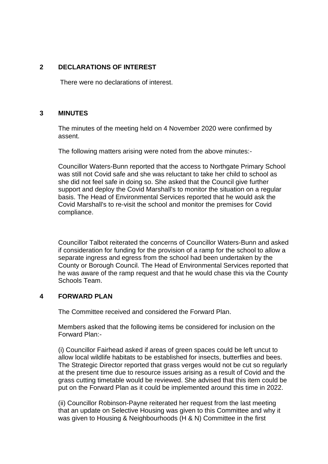#### **2 DECLARATIONS OF INTEREST** 2

There were no declarations of interest.

#### **3 MINUTES** 3

The minutes of the meeting held on 4 November 2020 were confirmed by assent.

The following matters arising were noted from the above minutes:-

Councillor Waters-Bunn reported that the access to Northgate Primary School was still not Covid safe and she was reluctant to take her child to school as she did not feel safe in doing so. She asked that the Council give further support and deploy the Covid Marshall's to monitor the situation on a regular basis. The Head of Environmental Services reported that he would ask the Covid Marshall's to re-visit the school and monitor the premises for Covid compliance.

Councillor Talbot reiterated the concerns of Councillor Waters-Bunn and asked if consideration for funding for the provision of a ramp for the school to allow a separate ingress and egress from the school had been undertaken by the County or Borough Council. The Head of Environmental Services reported that he was aware of the ramp request and that he would chase this via the County Schools Team.

#### **4 FORWARD PLAN** 4

The Committee received and considered the Forward Plan.

Members asked that the following items be considered for inclusion on the Forward Plan:-

(i) Councillor Fairhead asked if areas of green spaces could be left uncut to allow local wildlife habitats to be established for insects, butterflies and bees. The Strategic Director reported that grass verges would not be cut so regularly at the present time due to resource issues arising as a result of Covid and the grass cutting timetable would be reviewed. She advised that this item could be put on the Forward Plan as it could be implemented around this time in 2022.

(ii) Councillor Robinson-Payne reiterated her request from the last meeting that an update on Selective Housing was given to this Committee and why it was given to Housing & Neighbourhoods (H & N) Committee in the first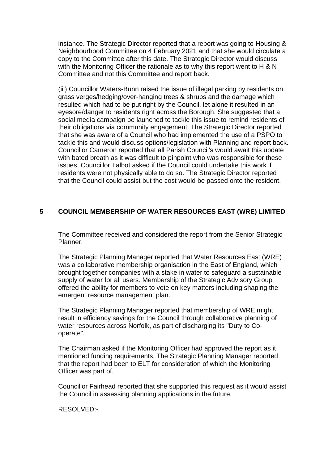instance. The Strategic Director reported that a report was going to Housing & Neighbourhood Committee on 4 February 2021 and that she would circulate a copy to the Committee after this date. The Strategic Director would discuss with the Monitoring Officer the rationale as to why this report went to H & N Committee and not this Committee and report back.

(iii) Councillor Waters-Bunn raised the issue of illegal parking by residents on grass verges/hedging/over-hanging trees & shrubs and the damage which resulted which had to be put right by the Council, let alone it resulted in an eyesore/danger to residents right across the Borough. She suggested that a social media campaign be launched to tackle this issue to remind residents of their obligations via community engagement. The Strategic Director reported that she was aware of a Council who had implemented the use of a PSPO to tackle this and would discuss options/legislation with Planning and report back. Councillor Cameron reported that all Parish Council's would await this update with bated breath as it was difficult to pinpoint who was responsible for these issues. Councillor Talbot asked if the Council could undertake this work if residents were not physically able to do so. The Strategic Director reported that the Council could assist but the cost would be passed onto the resident.

#### **5 COUNCIL MEMBERSHIP OF WATER RESOURCES EAST (WRE) LIMITED**

The Committee received and considered the report from the Senior Strategic Planner.

The Strategic Planning Manager reported that Water Resources East (WRE) was a collaborative membership organisation in the East of England, which brought together companies with a stake in water to safeguard a sustainable supply of water for all users. Membership of the Strategic Advisory Group offered the ability for members to vote on key matters including shaping the emergent resource management plan.

The Strategic Planning Manager reported that membership of WRE might result in efficiency savings for the Council through collaborative planning of water resources across Norfolk, as part of discharging its "Duty to Cooperate".

The Chairman asked if the Monitoring Officer had approved the report as it mentioned funding requirements. The Strategic Planning Manager reported that the report had been to ELT for consideration of which the Monitoring Officer was part of.

Councillor Fairhead reported that she supported this request as it would assist the Council in assessing planning applications in the future.

RESOLVED:-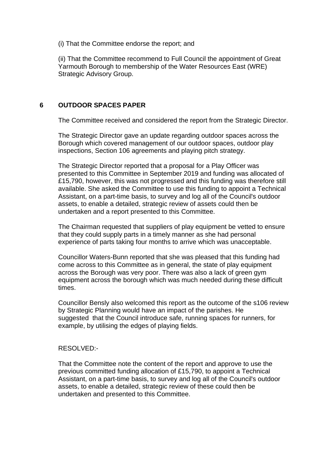(i) That the Committee endorse the report; and

(ii) That the Committee recommend to Full Council the appointment of Great Yarmouth Borough to membership of the Water Resources East (WRE) Strategic Advisory Group.

#### **6 OUTDOOR SPACES PAPER** 6

The Committee received and considered the report from the Strategic Director.

The Strategic Director gave an update regarding outdoor spaces across the Borough which covered management of our outdoor spaces, outdoor play inspections, Section 106 agreements and playing pitch strategy.

The Strategic Director reported that a proposal for a Play Officer was presented to this Committee in September 2019 and funding was allocated of £15,790, however, this was not progressed and this funding was therefore still available. She asked the Committee to use this funding to appoint a Technical Assistant, on a part-time basis, to survey and log all of the Council's outdoor assets, to enable a detailed, strategic review of assets could then be undertaken and a report presented to this Committee.

The Chairman requested that suppliers of play equipment be vetted to ensure that they could supply parts in a timely manner as she had personal experience of parts taking four months to arrive which was unacceptable.

Councillor Waters-Bunn reported that she was pleased that this funding had come across to this Committee as in general, the state of play equipment across the Borough was very poor. There was also a lack of green gym equipment across the borough which was much needed during these difficult times.

Councillor Bensly also welcomed this report as the outcome of the s106 review by Strategic Planning would have an impact of the parishes. He suggested that the Council introduce safe, running spaces for runners, for example, by utilising the edges of playing fields.

#### RESOLVED:-

That the Committee note the content of the report and approve to use the previous committed funding allocation of £15,790, to appoint a Technical Assistant, on a part-time basis, to survey and log all of the Council's outdoor assets, to enable a detailed, strategic review of these could then be undertaken and presented to this Committee.